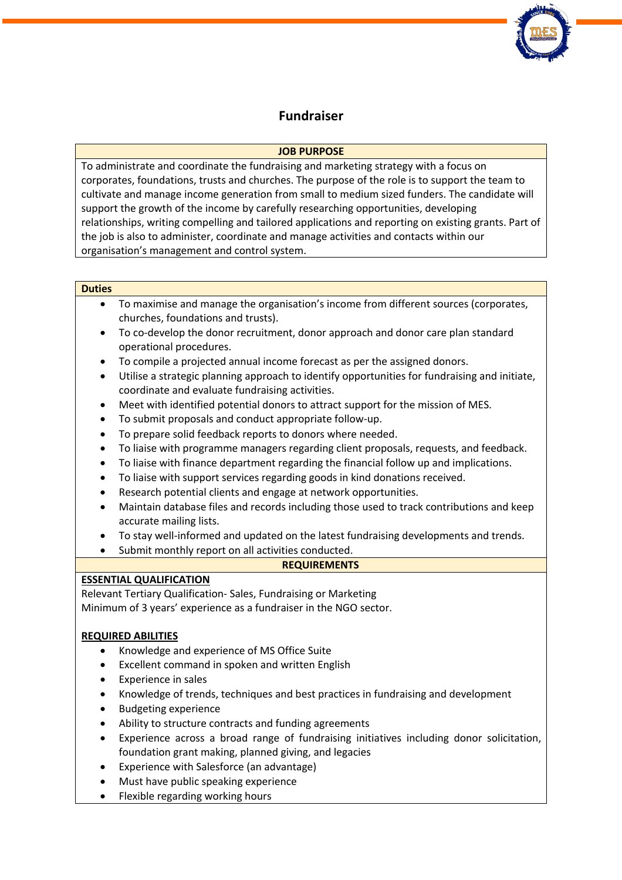

## **Fundraiser**

### **JOB PURPOSE**

To administrate and coordinate the fundraising and marketing strategy with a focus on corporates, foundations, trusts and churches. The purpose of the role is to support the team to cultivate and manage income generation from small to medium sized funders. The candidate will support the growth of the income by carefully researching opportunities, developing relationships, writing compelling and tailored applications and reporting on existing grants. Part of the job is also to administer, coordinate and manage activities and contacts within our organisation's management and control system.

#### **Duties**

- To maximise and manage the organisation's income from different sources (corporates, churches, foundations and trusts).
- To co-develop the donor recruitment, donor approach and donor care plan standard operational procedures.
- To compile a projected annual income forecast as per the assigned donors.
- Utilise a strategic planning approach to identify opportunities for fundraising and initiate, coordinate and evaluate fundraising activities.
- Meet with identified potential donors to attract support for the mission of MES.
- To submit proposals and conduct appropriate follow-up.
- To prepare solid feedback reports to donors where needed.
- To liaise with programme managers regarding client proposals, requests, and feedback.
- To liaise with finance department regarding the financial follow up and implications.
- To liaise with support services regarding goods in kind donations received.
- Research potential clients and engage at network opportunities.
- Maintain database files and records including those used to track contributions and keep accurate mailing lists.
- To stay well-informed and updated on the latest fundraising developments and trends.
- Submit monthly report on all activities conducted.

#### **REQUIREMENTS**

#### **ESSENTIAL QUALIFICATION**

Relevant Tertiary Qualification- Sales, Fundraising or Marketing Minimum of 3 years' experience as a fundraiser in the NGO sector.

## **REQUIRED ABILITIES**

- Knowledge and experience of MS Office Suite
- Excellent command in spoken and written English
- Experience in sales
- Knowledge of trends, techniques and best practices in fundraising and development
- Budgeting experience
- Ability to structure contracts and funding agreements
- Experience across a broad range of fundraising initiatives including donor solicitation, foundation grant making, planned giving, and legacies
- Experience with Salesforce (an advantage)
- Must have public speaking experience
- Flexible regarding working hours